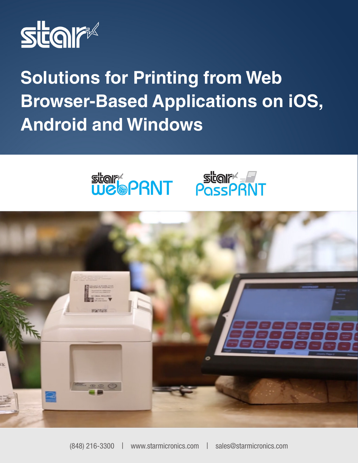

**Solutions for Printing from Web Browser-Based Applications on iOS, Android and Windows**





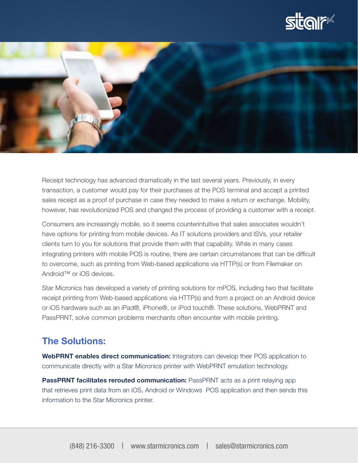



Receipt technology has advanced dramatically in the last several years. Previously, in every transaction, a customer would pay for their purchases at the POS terminal and accept a printed sales receipt as a proof of purchase in case they needed to make a return or exchange. Mobility, however, has revolutionized POS and changed the process of providing a customer with a receipt.

Consumers are increasingly mobile, so it seems counterintuitive that sales associates wouldn't have options for printing from mobile devices. As IT solutions providers and ISVs, your retailer clients turn to you for solutions that provide them with that capability. While in many cases integrating printers with mobile POS is routine, there are certain circumstances that can be difficult to overcome, such as printing from Web-based applications via HTTP(s) or from Filemaker on Android™ or iOS devices.

Star Micronics has developed a variety of printing solutions for mPOS, including two that facilitate receipt printing from Web-based applications via HTTP(s) and from a project on an Android device or iOS hardware such as an iPad®, iPhone®, or iPod touch®. These solutions, WebPRNT and PassPRNT, solve common problems merchants often encounter with mobile printing.

## The Solutions:

WebPRNT enables direct communication: Integrators can develop their POS application to communicate directly with a Star Micronics printer with WebPRNT emulation technology.

**PassPRNT facilitates rerouted communication:** PassPRNT acts as a print relaying app that retrieves print data from an iOS, Android or Windows POS application and then sends this information to the Star Micronics printer.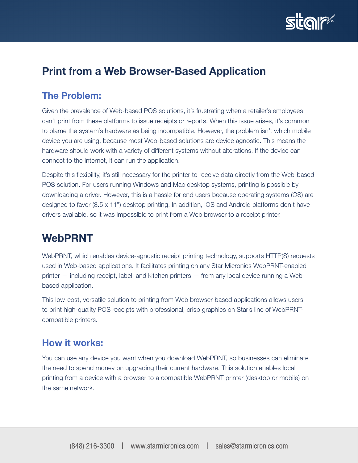

# Print from a Web Browser-Based Application

## The Problem:

Given the prevalence of Web-based POS solutions, it's frustrating when a retailer's employees can't print from these platforms to issue receipts or reports. When this issue arises, it's common to blame the system's hardware as being incompatible. However, the problem isn't which mobile device you are using, because most Web-based solutions are device agnostic. This means the hardware should work with a variety of different systems without alterations. If the device can connect to the Internet, it can run the application.

Despite this flexibility, it's still necessary for the printer to receive data directly from the Web-based POS solution. For users running Windows and Mac desktop systems, printing is possible by downloading a driver. However, this is a hassle for end users because operating systems (OS) are designed to favor (8.5 x 11") desktop printing. In addition, iOS and Android platforms don't have drivers available, so it was impossible to print from a Web browser to a receipt printer.

# WebPRNT

WebPRNT, which enables device-agnostic receipt printing technology, supports HTTP(S) requests used in Web-based applications. It facilitates printing on any Star Micronics WebPRNT-enabled printer — including receipt, label, and kitchen printers — from any local device running a Webbased application.

This low-cost, versatile solution to printing from Web browser-based applications allows users to print high-quality POS receipts with professional, crisp graphics on Star's line of WebPRNTcompatible printers.

### How it works:

You can use any device you want when you download WebPRNT, so businesses can eliminate the need to spend money on upgrading their current hardware. This solution enables local printing from a device with a browser to a compatible WebPRNT printer (desktop or mobile) on the same network.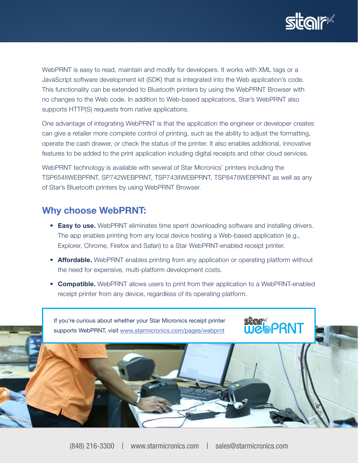

WebPRNT is easy to read, maintain and modify for developers. It works with XML tags or a JavaScript software development kit (SDK) that is integrated into the Web application's code. This functionality can be extended to Bluetooth printers by using the WebPRNT Browser with no changes to the Web code. In addition to Web-based applications, Star's WebPRNT also supports HTTP(S) requests from native applications.

One advantage of integrating WebPRNT is that the application the engineer or developer creates can give a retailer more complete control of printing, such as the ability to adjust the formatting, operate the cash drawer, or check the status of the printer. It also enables additional, innovative features to be added to the print application including digital receipts and other cloud services.

WebPRNT technology is available with several of Star Micronics' printers including the TSP654IIWEBPRNT, SP742WEBPRNT, TSP743IIWEBPRNT, TSP847IIWEBPRNT as well as any of Star's Bluetooth printers by using WebPRNT Browser.

#### Why choose WebPRNT:

- Easy to use. WebPRNT eliminates time spent downloading software and installing drivers. The app enables printing from any local device hosting a Web-based application (e.g., Explorer, Chrome, Firefox and Safari) to a Star WebPRNT-enabled receipt printer.
- Affordable. WebPRNT enables printing from any application or operating platform without the need for expensive, multi-platform development costs.
- **Compatible.** WebPRNT allows users to print from their application to a WebPRNT-enabled receipt printer from any device, regardless of its operating platform.

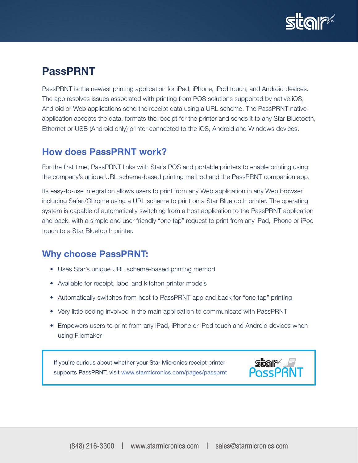

## PassPRNT

PassPRNT is the newest printing application for iPad, iPhone, iPod touch, and Android devices. The app resolves issues associated with printing from POS solutions supported by native iOS, Android or Web applications send the receipt data using a URL scheme. The PassPRNT native application accepts the data, formats the receipt for the printer and sends it to any Star Bluetooth, Ethernet or USB (Android only) printer connected to the iOS, Android and Windows devices.

## How does PassPRNT work?

For the first time, PassPRNT links with Star's POS and portable printers to enable printing using the company's unique URL scheme-based printing method and the PassPRNT companion app.

Its easy-to-use integration allows users to print from any Web application in any Web browser including Safari/Chrome using a URL scheme to print on a Star Bluetooth printer. The operating system is capable of automatically switching from a host application to the PassPRNT application and back, with a simple and user friendly "one tap" request to print from any iPad, iPhone or iPod touch to a Star Bluetooth printer.

### Why choose PassPRNT:

- Uses Star's unique URL scheme-based printing method
- Available for receipt, label and kitchen printer models
- Automatically switches from host to PassPRNT app and back for "one tap" printing
- Very little coding involved in the main application to communicate with PassPRNT
- Empowers users to print from any iPad, iPhone or iPod touch and Android devices when using Filemaker

If you're curious about whether your Star Micronics receipt printer supports PassPRNT, visit [www.starmicronics.com/pages/passprnt](http://www.starmicronics.com/pages/passprnt)